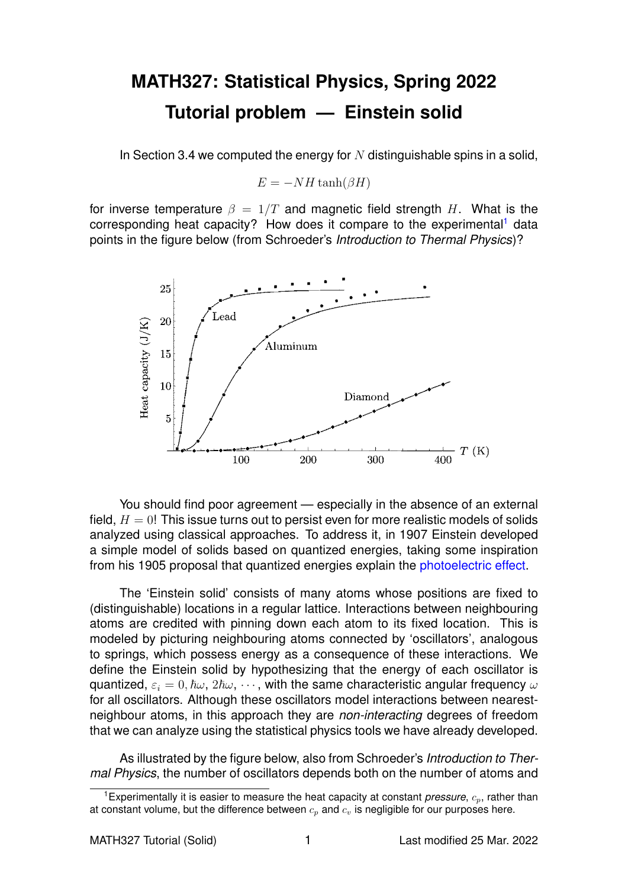## **MATH327: Statistical Physics, Spring 2022 Tutorial problem — Einstein solid**

In Section 3.4 we computed the energy for  $N$  distinguishable spins in a solid,

 $E = -NH \tanh(\beta H)$ 

for inverse temperature  $\beta = 1/T$  and magnetic field strength H. What is the corresponding heat capacity? How does it compare to the experimental<sup>[1](#page-0-0)</sup> data points in the figure below (from Schroeder's *Introduction to Thermal Physics*)?



You should find poor agreement — especially in the absence of an external field,  $H = 0!$  This issue turns out to persist even for more realistic models of solids analyzed using classical approaches. To address it, in 1907 Einstein developed a simple model of solids based on quantized energies, taking some inspiration from his 1905 proposal that quantized energies explain the [photoelectric effect.](https://en.wikipedia.org/wiki/Photoelectric_effect)

The 'Einstein solid' consists of many atoms whose positions are fixed to (distinguishable) locations in a regular lattice. Interactions between neighbouring atoms are credited with pinning down each atom to its fixed location. This is modeled by picturing neighbouring atoms connected by 'oscillators', analogous to springs, which possess energy as a consequence of these interactions. We define the Einstein solid by hypothesizing that the energy of each oscillator is quantized,  $\varepsilon_i = 0, \hbar \omega, 2\hbar \omega, \cdots$ , with the same characteristic angular frequency  $\omega$ for all oscillators. Although these oscillators model interactions between nearestneighbour atoms, in this approach they are *non-interacting* degrees of freedom that we can analyze using the statistical physics tools we have already developed.

As illustrated by the figure below, also from Schroeder's *Introduction to Thermal Physics*, the number of oscillators depends both on the number of atoms and

<span id="page-0-0"></span><sup>&</sup>lt;sup>1</sup> Experimentally it is easier to measure the heat capacity at constant *pressure*,  $c_p$ , rather than at constant volume, but the difference between  $c_n$  and  $c_n$  is negligible for our purposes here.